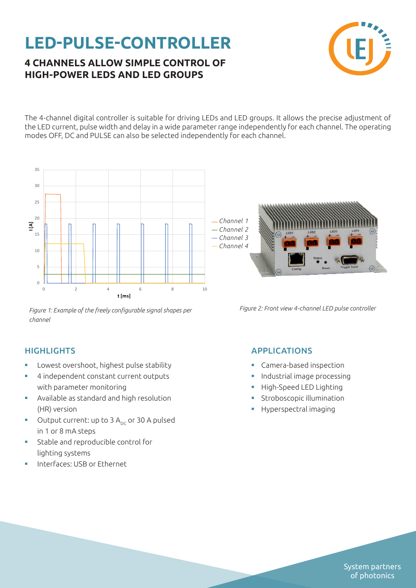## **LED-PULSE-CONTROLLER**

### **4 CHANNELS ALLOW SIMPLE CONTROL OF HIGH-POWER LEDS AND LED GROUPS**



The 4-channel digital controller is suitable for driving LEDs and LED groups. It allows the precise adjustment of the LED current, pulse width and delay in a wide parameter range independently for each channel. The operating modes OFF, DC and PULSE can also be selected independently for each channel.



*Figure 1: Example of the freely configurable signal shapes per channel*

#### **HIGHLIGHTS**

- **▪** Lowest overshoot, highest pulse stability
- **▪** 4 independent constant current outputs with parameter monitoring
- **▪** Available as standard and high resolution (HR) version
- Output current: up to 3 A<sub>nc</sub> or 30 A pulsed in 1 or 8 mA steps
- **▪** Stable and reproducible control for lighting systems
- **▪** Interfaces: USB or Ethernet

APPLICATIONS

- **▪** Camera-based inspection
- **▪** Industrial image processing
- **▪** High-Speed LED Lighting
- **▪** Stroboscopic illumination
- **▪** Hyperspectral imaging

System partners of photonics